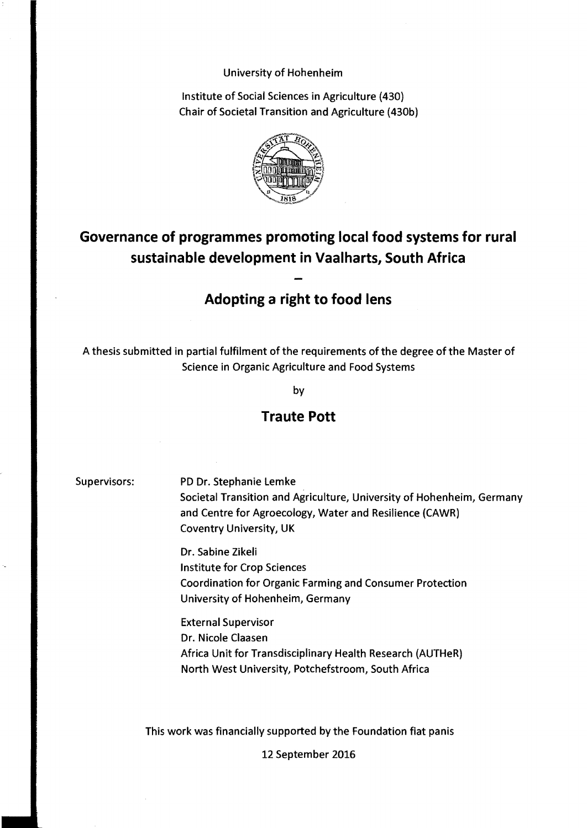### University of Hohenheim

Institute of Social Sciences in Agriculture (430) Chair of Societal Transition and Agriculture (430b)



# **Governance of programmes promoting local food systems for rural sustainable development in Vaalharts, South Africa**

## **Adopting a right to food lens**

A thesis submitted in partial fulfilment of the requirements of the degree of the Master of Science in Organic Agriculture and Food Systems

by

### **Traute Pott**

Supervisors: PD Dr. Stephanie Lemke Societal Transition and Agriculture, University of Hohenheim, Germany and Centre for Agroecology, Water and Resilience (CAWR) Coventry University, UK

> Dr. Sabine Zikeli Institute for Crop Sciences Coordination for Organic Farming and Consumer Protection University of Hohenheim, Germany

External Supervisor Dr. Nicole Claasen Africa Unit for Transdisciplinary Health Research (AUTHeR) North West University, Potchefstroom, South Africa

This work was financially supported by the Foundation fiat panis

12 September 2016